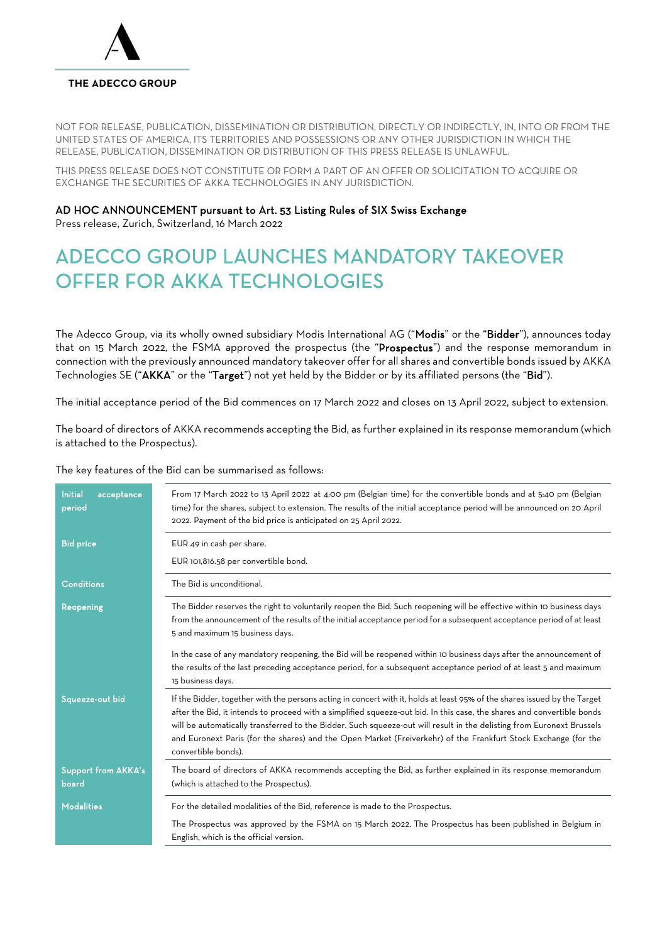

# THE ADECCO GROUP

NOT FOR RELEASE, PUBLICATION, DISSEMINATION OR DISTRIBUTION, DIRECTLY OR INDIRECTLY, IN, INTO OR FROM THE UNITED STATES OF AMERICA, ITS TERRITORIES AND POSSESSIONS OR ANY OTHER JURISDICTION IN WHICH THE RELEASE, PUBLICATION, DISSEMINATION OR DISTRIBUTION OF THIS PRESS RELEASE IS UNLAWFUL.

THIS PRESS RELEASE DOES NOT CONSTITUTE OR FORM A PART OF AN OFFER OR SOLICITATION TO ACQUIRE OR EXCHANGE THE SECURITIES OF AKKA TECHNOLOGIES IN ANY JURISDICTION.

# AD HOC ANNOUNCEMENT pursuant to Art. 53 Listing Rules of SIX Swiss Exchange

Press release, Zurich, Switzerland, 16 March 2022

# ADECCO GROUP LAUNCHES MANDATORY TAKEOVER OFFER FOR AKKA TECHNOLOGIES

The Adecco Group, via its wholly owned subsidiary Modis International AG ("Modis" or the "Bidder"), announces today that on 15 March 2022, the FSMA approved the prospectus (the "Prospectus") and the response memorandum in connection with the previously announced mandatory takeover offer for all shares and convertible bonds issued by AKKA Technologies SE ("AKKA" or the "Target") not yet held by the Bidder or by its affiliated persons (the "Bid").

The initial acceptance period of the Bid commences on 17 March 2022 and closes on 13 April 2022, subject to extension.

The board of directors of AKKA recommends accepting the Bid, as further explained in its response memorandum (which is attached to the Prospectus).

The key features of the Bid can be summarised as follows:

| <b>Initial</b><br>acceptance<br>period | From 17 March 2022 to 13 April 2022 at 4:00 pm (Belgian time) for the convertible bonds and at 5:40 pm (Belgian<br>time) for the shares, subject to extension. The results of the initial acceptance period will be announced on 20 April<br>2022. Payment of the bid price is anticipated on 25 April 2022.                                                                                                                                                                                                          |
|----------------------------------------|-----------------------------------------------------------------------------------------------------------------------------------------------------------------------------------------------------------------------------------------------------------------------------------------------------------------------------------------------------------------------------------------------------------------------------------------------------------------------------------------------------------------------|
| <b>Bid price</b>                       | EUR 49 in cash per share.<br>EUR 101,816.58 per convertible bond.                                                                                                                                                                                                                                                                                                                                                                                                                                                     |
| <b>Conditions</b>                      | The Bid is unconditional.                                                                                                                                                                                                                                                                                                                                                                                                                                                                                             |
| Reopening                              | The Bidder reserves the right to voluntarily reopen the Bid. Such reopening will be effective within 10 business days<br>from the announcement of the results of the initial acceptance period for a subsequent acceptance period of at least<br>5 and maximum 15 business days.                                                                                                                                                                                                                                      |
|                                        | In the case of any mandatory reopening, the Bid will be reopened within 10 business days after the announcement of<br>the results of the last preceding acceptance period, for a subsequent acceptance period of at least 5 and maximum<br>15 business days.                                                                                                                                                                                                                                                          |
| Squeeze-out bid                        | If the Bidder, together with the persons acting in concert with it, holds at least 95% of the shares issued by the Target<br>after the Bid, it intends to proceed with a simplified squeeze-out bid. In this case, the shares and convertible bonds<br>will be automatically transferred to the Bidder. Such squeeze-out will result in the delisting from Euronext Brussels<br>and Euronext Paris (for the shares) and the Open Market (Freiverkehr) of the Frankfurt Stock Exchange (for the<br>convertible bonds). |
| <b>Support from AKKA's</b><br>board    | The board of directors of AKKA recommends accepting the Bid, as further explained in its response memorandum<br>(which is attached to the Prospectus).                                                                                                                                                                                                                                                                                                                                                                |
| <b>Modalities</b>                      | For the detailed modalities of the Bid, reference is made to the Prospectus.                                                                                                                                                                                                                                                                                                                                                                                                                                          |
|                                        | The Prospectus was approved by the FSMA on 15 March 2022. The Prospectus has been published in Belgium in<br>English, which is the official version.                                                                                                                                                                                                                                                                                                                                                                  |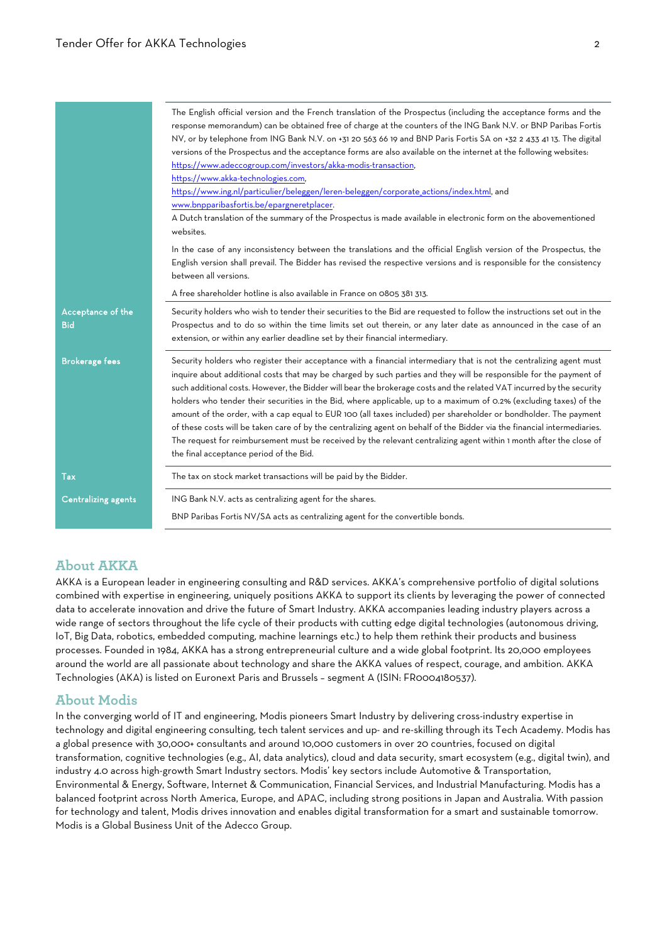|                                 | The English official version and the French translation of the Prospectus (including the acceptance forms and the<br>response memorandum) can be obtained free of charge at the counters of the ING Bank N.V. or BNP Paribas Fortis<br>NV, or by telephone from ING Bank N.V. on +31 20 563 66 19 and BNP Paris Fortis SA on +32 2 433 41 13. The digital<br>versions of the Prospectus and the acceptance forms are also available on the internet at the following websites:<br>https://www.adeccogroup.com/investors/akka-modis-transaction,<br>https://www.akka-technologies.com,<br>https://www.ing.nl/particulier/beleggen/leren-beleggen/corporate_actions/index.html, and<br>www.bnpparibasfortis.be/epargneretplacer.<br>A Dutch translation of the summary of the Prospectus is made available in electronic form on the abovementioned<br>websites.                                              |
|---------------------------------|-------------------------------------------------------------------------------------------------------------------------------------------------------------------------------------------------------------------------------------------------------------------------------------------------------------------------------------------------------------------------------------------------------------------------------------------------------------------------------------------------------------------------------------------------------------------------------------------------------------------------------------------------------------------------------------------------------------------------------------------------------------------------------------------------------------------------------------------------------------------------------------------------------------|
|                                 | In the case of any inconsistency between the translations and the official English version of the Prospectus, the<br>English version shall prevail. The Bidder has revised the respective versions and is responsible for the consistency<br>between all versions.                                                                                                                                                                                                                                                                                                                                                                                                                                                                                                                                                                                                                                          |
|                                 | A free shareholder hotline is also available in France on 0805 381 313.                                                                                                                                                                                                                                                                                                                                                                                                                                                                                                                                                                                                                                                                                                                                                                                                                                     |
| Acceptance of the<br><b>Bid</b> | Security holders who wish to tender their securities to the Bid are requested to follow the instructions set out in the<br>Prospectus and to do so within the time limits set out therein, or any later date as announced in the case of an<br>extension, or within any earlier deadline set by their financial intermediary.                                                                                                                                                                                                                                                                                                                                                                                                                                                                                                                                                                               |
| <b>Brokerage fees</b>           | Security holders who register their acceptance with a financial intermediary that is not the centralizing agent must<br>inquire about additional costs that may be charged by such parties and they will be responsible for the payment of<br>such additional costs. However, the Bidder will bear the brokerage costs and the related VAT incurred by the security<br>holders who tender their securities in the Bid, where applicable, up to a maximum of 0.2% (excluding taxes) of the<br>amount of the order, with a cap equal to EUR 100 (all taxes included) per shareholder or bondholder. The payment<br>of these costs will be taken care of by the centralizing agent on behalf of the Bidder via the financial intermediaries.<br>The request for reimbursement must be received by the relevant centralizing agent within 1 month after the close of<br>the final acceptance period of the Bid. |
| Tax                             | The tax on stock market transactions will be paid by the Bidder.                                                                                                                                                                                                                                                                                                                                                                                                                                                                                                                                                                                                                                                                                                                                                                                                                                            |
| <b>Centralizing agents</b>      | ING Bank N.V. acts as centralizing agent for the shares.<br>BNP Paribas Fortis NV/SA acts as centralizing agent for the convertible bonds.                                                                                                                                                                                                                                                                                                                                                                                                                                                                                                                                                                                                                                                                                                                                                                  |

# **About AKKA**

AKKA is a European leader in engineering consulting and R&D services. AKKA's comprehensive portfolio of digital solutions combined with expertise in engineering, uniquely positions AKKA to support its clients by leveraging the power of connected data to accelerate innovation and drive the future of Smart Industry. AKKA accompanies leading industry players across a wide range of sectors throughout the life cycle of their products with cutting edge digital technologies (autonomous driving, IoT, Big Data, robotics, embedded computing, machine learnings etc.) to help them rethink their products and business processes. Founded in 1984, AKKA has a strong entrepreneurial culture and a wide global footprint. Its 20,000 employees around the world are all passionate about technology and share the AKKA values of respect, courage, and ambition. AKKA Technologies (AKA) is listed on Euronext Paris and Brussels – segment A (ISIN: FR0004180537).

## **About Modis**

In the converging world of IT and engineering, Modis pioneers Smart Industry by delivering cross-industry expertise in technology and digital engineering consulting, tech talent services and up- and re-skilling through its Tech Academy. Modis has a global presence with 30,000+ consultants and around 10,000 customers in over 20 countries, focused on digital transformation, cognitive technologies (e.g., AI, data analytics), cloud and data security, smart ecosystem (e.g., digital twin), and industry 4.0 across high-growth Smart Industry sectors. Modis' key sectors include Automotive & Transportation, Environmental & Energy, Software, Internet & Communication, Financial Services, and Industrial Manufacturing. Modis has a balanced footprint across North America, Europe, and APAC, including strong positions in Japan and Australia. With passion for technology and talent, Modis drives innovation and enables digital transformation for a smart and sustainable tomorrow. Modis is a Global Business Unit of the Adecco Group.